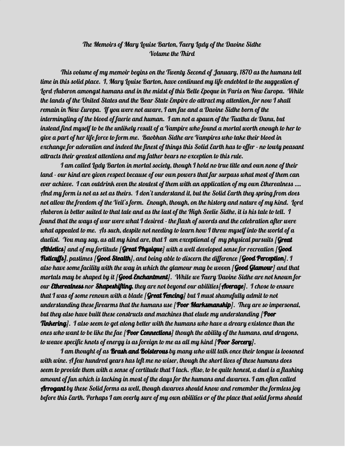## The Memoirs of Mary Louise Barton, Faery Lady of the Daoine Sidhe Volume the Third

This volume of my memoir begins on the Twenty Second of January, 1870 as the humans tell time in this solid place. I, Mary Louise Barton, have continued my life endebted to the suggestion of Lord Auberon amongst humans and in the midst of this Belle Epoque in Paris on New Europa. While the lands of the United States and the Bear State Empire do attract my attention, for now I shall remain in New Europa. If you were not aware, I am fae and a Daoine Sidhe born of the intermingling of the blood of faerie and human. I am not a spawn of the Tuatha de Danu, but instead find myself to be the unlikely result of a Vampire who found a mortal worth enough to her to give a part of her life force to form me. Baobhan Sidhe are Vampires who take their blood in exchange for adoration and indeed the finest of things this Solid Earth has to offer - no lowly peasant attracts their greatest attentions and my father bears no exception to this rule.

I am called Lady Barton in mortal society, though I hold no true title and own none of their land - our kind are given respect because of our own powers that far surpass what most of them can ever achieve. I can outdrink even the stoutest of them with an application of my own Etherealness …. And my form is not as set as theirs. I don't understand it, but the Solid Earth they spring from does not allow the freedom of the Veil's form. Enough, though, on the history and nature of my kind. Lord Auberon is better suited to that tale and as the last of the High Seelie Sidhe, it is his tale to tell. I found that the ways of war were what I desired - the flash of swords and the celebration after were what appealed to me. As such, despite not needing to learn how I threw myself into the world of a duelist. You may say, as all my kind are, that I am exceptional of my physical pursuits [Great **Athletics**] and of my fortitude [**Great Physique**] with a well developed sense for recreation [**Good Fisticuffs]**, pastimes [**Good Stealth**], and being able to discern the difference [**Good Perception**]. I also have some facility with the way in which the glamour may be woven [**Good Glamour**] and that mortals may be shaped by it [Good Enchantment]. While we Faery Daoine Sidhe are not known for our Etherealness nor Shapeshifting, they are not beyond our abilities[Average]. I chose to ensure that I was of some renown with a blade  $[Great\,Fencing]$  but I must shamefully admit to not understanding these firearms that the humans use [**Poor Marksmanship**]. They are so impersonal, but they also have built these constructs and machines that elude my understanding  $\beta$  **Poor Tinkering**]. I also seem to get along better with the humans who have a dreary existence than the ones who want to be like the fae [**Poor Connections**] though the ability of the humans, and dragons, to weave specific knots of energy is as foreign to me as all my kind [**Poor Sorcery**].

I am thought of as **Brash and Boisterous** by many who will talk once their tongue is loosened with wine. A few hundred years has left me no wiser, though the short lives of these humans does seem to provide them with a sense of certitude that I lack. Also, to be quite honest, a duel is a flashing amount of fun which is lacking in most of the days for the humans and dwarves. I am often called **Arrogant** by these Solid forms as well, though dwarves should know and remember the formless joy before this Earth. Perhaps I am overly sure of my own abilities or of the place that solid forms should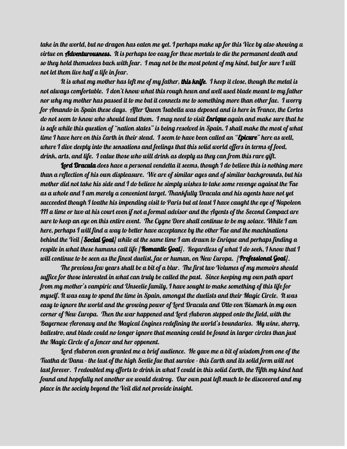take in the world, but no dragon has eaten me yet. I perhaps make up for this Vice by also showing a virtue on **Adventurousness.** It is perhaps too easy for these mortals to die the permanent death and so they hold themselves back with fear. I may not be the most potent of my kind, but for sure I will not let them live half a life in fear.

It is what my mother has left me of my father, **this knife**. I keep it close, though the metal is not always comfortable. I don't know what this rough hewn and well used blade meant to my father nor why my mother has passed it to me but it connects me to something more than other fae. I worry for Amando in Spain these days. After Queen Isabella was deposed and is here in France, the Cortes do not seem to know who should lead them. I may need to visit **Enrique** again and make sure that he is safe while this question of "nation states" is being resolved in Spain. I shall make the most of what time I have here on this Earth in their stead. I seem to have been called an "**Epicure**" here as well, where I dive deeply into the sensations and feelings that this solid world offers in terms of food, drink, arts, and life. I value those who will drink as deeply as they can from this rare gift.

**Lord Dracula** does have a personal vendetta it seems, though I do believe this is nothing more than a reflection of his own displeasure. We are of similar ages and of similar backgrounds, but his mother did not take his side and I do believe he simply wishes to take some revenge against the Fae as a whole and I am merely a convenient target. Thankfully Dracula and his agents have not yet succeeded though I loathe his impending visit to Paris but at least I have caught the eye of Napoleon III a time or two at his court even if not a formal advisor and the Agents of the Second Compact are sure to keep an eye on this entire event. The Cygne Dore shall continue to be my solace. While I am here, perhaps I will find a way to better have acceptance by the other Fae and the machinations behind the Veil [**Social Goal**] while at the same time I am drawn to Enrique and perhaps finding a respite in what these humans call life [**Romantic Goal**]. Regardless of what I do seek, I know that I will continue to be seen as the finest duelist, fae or human, on New Europa. [**Professional Goal**].

The previous few years shall be a bit of a blur. The first two Volumes of my memoirs should suffice for those interested in what can truly be called the past. Since keeping my own path apart from my mother's vampiric and Unseelie family, I have sought to make something of this life for myself. It was easy to spend the time in Spain, amongst the duelists and their Magic Circle. It was easy to ignore the world and the growing power of Lord Dracula and Otto von Bismark in my own corner of New Europa. Then the war happened and Lord Auberon stepped onto the field, with the Bayernese Aeronavy and the Magical Engines redefining the world's boundaries. My wine, sherry, ballestro, and blade could no longer ignore that meaning could be found in larger circles than just the Magic Circle of a fencer and her opponent.

Lord Auberon even granted me a brief audience. He gave me a bit of wisdom from one of the Tuatha de Danu - the last of the high Seelie fae that survive - this Earth and its solid form will not last forever. I redoubled my efforts to drink in what I could in this solid Earth, the Fifth my kind had found and hopefully not another we would destroy. Our own past left much to be discovered and my place in the society beyond the Veil did not provide insight.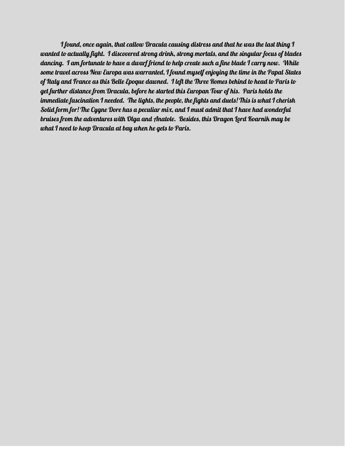I found, once again, that callow Dracula causing distress and that he was the last thing I wanted to actually fight. I discovered strong drink, strong mortals, and the singular focus of blades dancing. I am fortunate to have a dwarf friend to help create such a fine blade I carry now. While some travel across New Europa was warranted, I found myself enjoying the time in the Papal States of Italy and France as this Belle Epoque dawned. I left the Three Romes behind to head to Paris to get further distance from Dracula, before he started this Europan Tour of his. Paris holds the immediate fascination I needed. The lights, the people, the fights and duels! This is what I cherish Solid form for! The Cygne Dore has a peculiar mix, and I must admit that I have had wonderful bruises from the adventures with Olga and Anatole. Besides, this Dragon Lord Koarnik may be what I need to keep Dracula at bay when he gets to Paris.